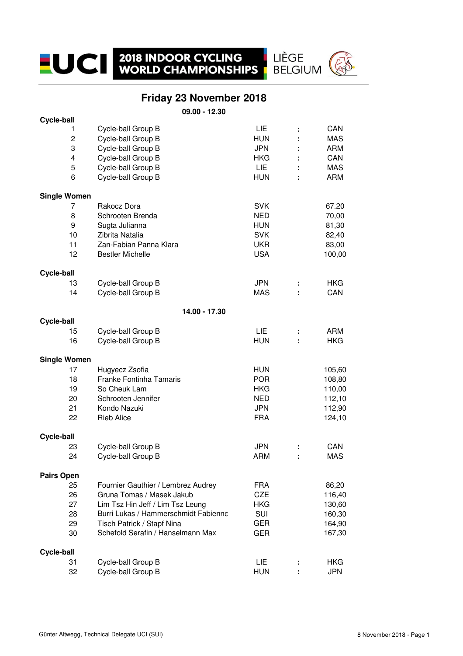#### **Friday 23 November 2018**

LIÈGE<br>BELGIUM

**09.00 - 12.30**

| Cycle-ball          |                                      |            |   |            |
|---------------------|--------------------------------------|------------|---|------------|
| 1                   | Cycle-ball Group B                   | LIE        | ÷ | CAN        |
| $\overline{c}$      | Cycle-ball Group B                   | <b>HUN</b> |   | <b>MAS</b> |
| 3                   | Cycle-ball Group B                   | <b>JPN</b> |   | <b>ARM</b> |
| 4                   | Cycle-ball Group B                   | <b>HKG</b> |   | CAN        |
| 5                   | Cycle-ball Group B                   | <b>LIE</b> |   | <b>MAS</b> |
| 6                   | Cycle-ball Group B                   | <b>HUN</b> |   | <b>ARM</b> |
|                     |                                      |            |   |            |
| <b>Single Women</b> |                                      |            |   |            |
| 7                   | Rakocz Dora                          | <b>SVK</b> |   | 67.20      |
| 8                   | Schrooten Brenda                     | <b>NED</b> |   | 70,00      |
| 9                   | Sugta Julianna                       | <b>HUN</b> |   | 81,30      |
| 10                  | Zibrita Natalia                      | <b>SVK</b> |   | 82,40      |
| 11                  | Zan-Fabian Panna Klara               | <b>UKR</b> |   | 83,00      |
| 12                  | <b>Bestler Michelle</b>              | <b>USA</b> |   | 100,00     |
|                     |                                      |            |   |            |
| Cycle-ball          |                                      |            |   |            |
| 13                  | Cycle-ball Group B                   | <b>JPN</b> |   | <b>HKG</b> |
| 14                  | Cycle-ball Group B                   | <b>MAS</b> |   | CAN        |
|                     | 14.00 - 17.30                        |            |   |            |
| <b>Cycle-ball</b>   |                                      |            |   |            |
| 15                  | Cycle-ball Group B                   | LIE        |   | <b>ARM</b> |
| 16                  | Cycle-ball Group B                   | <b>HUN</b> |   | <b>HKG</b> |
| <b>Single Women</b> |                                      |            |   |            |
| 17                  | Hugyecz Zsofia                       | <b>HUN</b> |   | 105,60     |
| 18                  | <b>Franke Fontinha Tamaris</b>       | <b>POR</b> |   |            |
|                     |                                      |            |   | 108,80     |
| 19                  | So Cheuk Lam                         | <b>HKG</b> |   | 110,00     |
| 20                  | Schrooten Jennifer                   | <b>NED</b> |   | 112,10     |
| 21                  | Kondo Nazuki                         | <b>JPN</b> |   | 112,90     |
| 22                  | <b>Rieb Alice</b>                    | <b>FRA</b> |   | 124,10     |
| <b>Cycle-ball</b>   |                                      |            |   |            |
| 23                  | Cycle-ball Group B                   | <b>JPN</b> | ÷ | CAN        |
| 24                  | Cycle-ball Group B                   | <b>ARM</b> |   | <b>MAS</b> |
| <b>Pairs Open</b>   |                                      |            |   |            |
| 25                  | Fournier Gauthier / Lembrez Audrey   | <b>FRA</b> |   | 86,20      |
|                     |                                      |            |   |            |
| 26                  | Gruna Tomas / Masek Jakub            | <b>CZE</b> |   | 116,40     |
| 27                  | Lim Tsz Hin Jeff / Lim Tsz Leung     | <b>HKG</b> |   | 130,60     |
| 28                  | Burri Lukas / Hammerschmidt Fabienne | <b>SUI</b> |   | 160,30     |
| 29                  | Tisch Patrick / Stapf Nina           | <b>GER</b> |   | 164,90     |
| 30                  | Schefold Serafin / Hanselmann Max    | GER        |   | 167,30     |
| Cycle-ball          |                                      |            |   |            |
| 31                  | Cycle-ball Group B                   | LIE.       |   | <b>HKG</b> |
| 32                  | Cycle-ball Group B                   | <b>HUN</b> |   | <b>JPN</b> |
|                     |                                      |            |   |            |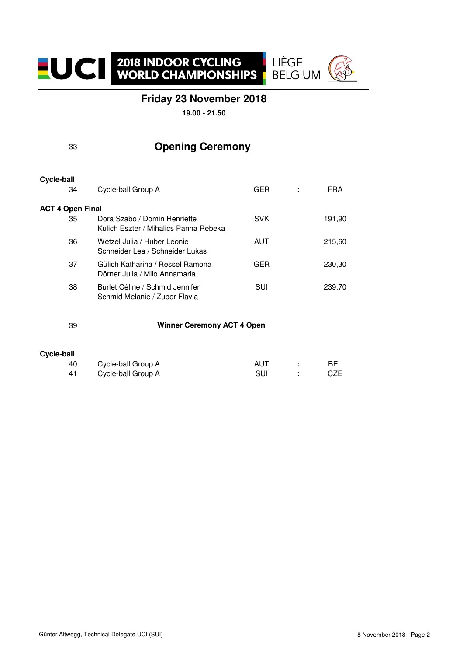

LIÈGE **BELGIUM** 

**19.00 - 21.50**

| 33 |  | <b>Opening Ceremony</b> |
|----|--|-------------------------|
|----|--|-------------------------|

#### 34 Cycle-ball Group A GER **:** FRA **ACT 4 Open Final** 35 Dora Szabo / Domin Henriette SVK 191,90 Kulich Eszter / Mihalics Panna Rebeka 36 Wetzel Julia / Huber Leonie **AUT** AUT 215,60 Schneider Lea / Schneider Lukas 37 Gülich Katharina / Ressel Ramona GER 230,30 Dörner Julia / Milo Annamaria 38 Burlet Céline / Schmid Jennifer SUI 239.70 Schmid Melanie / Zuber Flavia **Cycle-ball**

 **Winner Ceremony ACT 4 Open** 

#### **Cycle-ball**

39

| -40 | Cycle-ball Group A | AUT | <b>BEL</b> |
|-----|--------------------|-----|------------|
| -41 | Cycle-ball Group A | SUI | CZE        |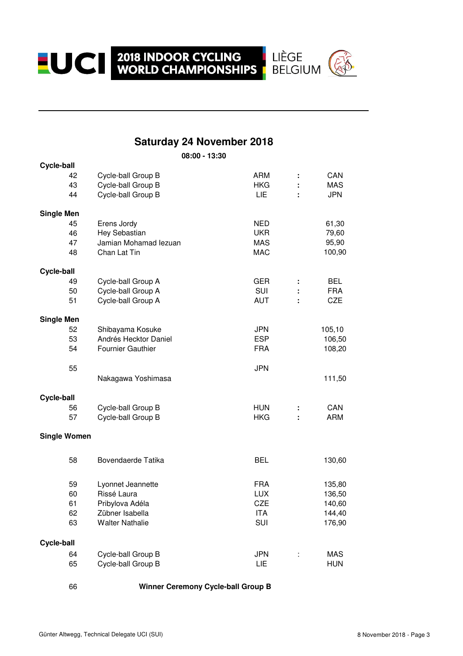**EUCI 2018 INDOOR CYCLING LIÈGE WORLD CHAMPIONSHIPS BELGIUM** 



### **Saturday 24 November 2018**

**08:00 - 13:30**

| <b>Cycle-ball</b>   |                          |            |    |            |
|---------------------|--------------------------|------------|----|------------|
| 42                  | Cycle-ball Group B       | <b>ARM</b> | t  | CAN        |
| 43                  | Cycle-ball Group B       | <b>HKG</b> |    | <b>MAS</b> |
| 44                  | Cycle-ball Group B       | LIE        |    | <b>JPN</b> |
| <b>Single Men</b>   |                          |            |    |            |
| 45                  | Erens Jordy              | <b>NED</b> |    | 61,30      |
| 46                  | Hey Sebastian            | <b>UKR</b> |    | 79,60      |
| 47                  | Jamian Mohamad lezuan    | <b>MAS</b> |    | 95,90      |
| 48                  | Chan Lat Tin             | <b>MAC</b> |    | 100,90     |
| Cycle-ball          |                          |            |    |            |
| 49                  | Cycle-ball Group A       | GER        | ÷  | <b>BEL</b> |
| 50                  | Cycle-ball Group A       | <b>SUI</b> |    | <b>FRA</b> |
| 51                  | Cycle-ball Group A       | <b>AUT</b> | ÷  | CZE        |
| <b>Single Men</b>   |                          |            |    |            |
| 52                  | Shibayama Kosuke         | <b>JPN</b> |    | 105,10     |
| 53                  | Andrés Hecktor Daniel    | <b>ESP</b> |    | 106,50     |
| 54                  | <b>Fournier Gauthier</b> | <b>FRA</b> |    | 108,20     |
| 55                  |                          | <b>JPN</b> |    |            |
|                     | Nakagawa Yoshimasa       |            |    | 111,50     |
| <b>Cycle-ball</b>   |                          |            |    |            |
| 56                  | Cycle-ball Group B       | <b>HUN</b> | ÷  | CAN        |
| 57                  | Cycle-ball Group B       | <b>HKG</b> |    | <b>ARM</b> |
| <b>Single Women</b> |                          |            |    |            |
| 58                  | Bovendaerde Tatika       | <b>BEL</b> |    | 130,60     |
| 59                  | Lyonnet Jeannette        | <b>FRA</b> |    | 135,80     |
| 60                  | Rissé Laura              | <b>LUX</b> |    | 136,50     |
| 61                  | Pribylova Adéla          | <b>CZE</b> |    | 140,60     |
| 62                  | Zübner Isabella          | <b>ITA</b> |    | 144,40     |
| 63                  | <b>Walter Nathalie</b>   | SUI        |    | 176,90     |
| <b>Cycle-ball</b>   |                          |            |    |            |
| 64                  | Cycle-ball Group B       | <b>JPN</b> | İ, | <b>MAS</b> |
| 65                  | Cycle-ball Group B       | LIE        |    | <b>HUN</b> |
|                     |                          |            |    |            |

66

#### **Winner Ceremony Cycle-ball Group B**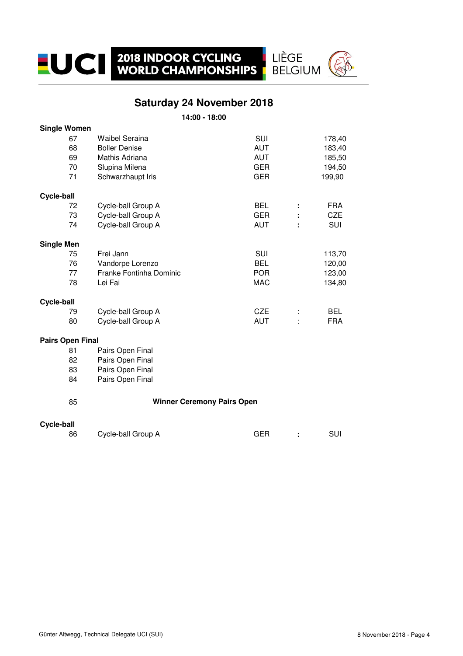

LIÈGE<br>BELGIUM

**14:00 - 18:00**

| <b>Single Women</b>     |                                   |            |   |            |
|-------------------------|-----------------------------------|------------|---|------------|
| 67                      | <b>Waibel Seraina</b>             | SUI        |   | 178,40     |
| 68                      | <b>Boller Denise</b>              | <b>AUT</b> |   | 183,40     |
| 69                      | Mathis Adriana                    | <b>AUT</b> |   | 185,50     |
| 70                      | Slupina Milena                    | <b>GER</b> |   | 194,50     |
| 71                      | Schwarzhaupt Iris                 | <b>GER</b> |   | 199,90     |
| <b>Cycle-ball</b>       |                                   |            |   |            |
| 72                      | Cycle-ball Group A                | <b>BEL</b> | ÷ | <b>FRA</b> |
| 73                      | Cycle-ball Group A                | <b>GER</b> |   | <b>CZE</b> |
| 74                      | Cycle-ball Group A                | <b>AUT</b> |   | SUI        |
| <b>Single Men</b>       |                                   |            |   |            |
| 75                      | Frei Jann                         | SUI        |   | 113,70     |
| 76                      | Vandorpe Lorenzo                  | <b>BEL</b> |   | 120,00     |
| 77                      | Franke Fontinha Dominic           | <b>POR</b> |   | 123,00     |
| 78                      | Lei Fai                           | <b>MAC</b> |   | 134,80     |
| Cycle-ball              |                                   |            |   |            |
| 79                      | Cycle-ball Group A                | <b>CZE</b> |   | <b>BEL</b> |
| 80                      | Cycle-ball Group A                | <b>AUT</b> |   | <b>FRA</b> |
| <b>Pairs Open Final</b> |                                   |            |   |            |
| 81                      | Pairs Open Final                  |            |   |            |
| 82                      | Pairs Open Final                  |            |   |            |
| 83                      | Pairs Open Final                  |            |   |            |
| 84                      | Pairs Open Final                  |            |   |            |
| 85                      | <b>Winner Ceremony Pairs Open</b> |            |   |            |
| <b>Cycle-ball</b>       |                                   |            |   |            |
| 86                      | Cycle-ball Group A                | <b>GER</b> | ÷ | SUI        |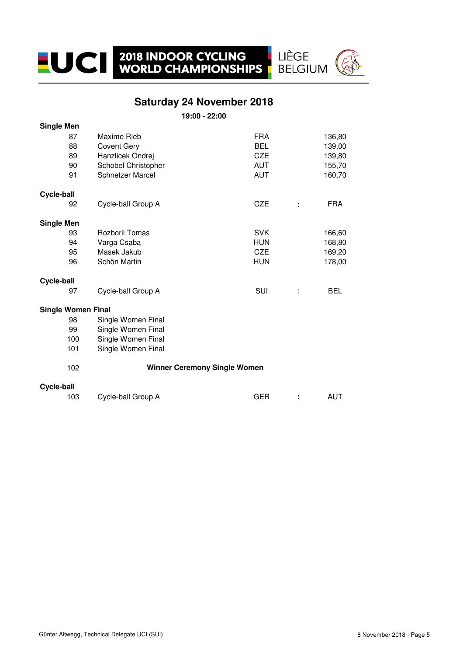#### **Saturday 24 November 2018**

LIÈGE<br>BELGIUM

**19:00 - 22:00**

| <b>Single Men</b>         |                         |                                     |   |            |
|---------------------------|-------------------------|-------------------------------------|---|------------|
| 87                        | Maxime Rieb             | <b>FRA</b>                          |   | 136,80     |
| 88                        | <b>Covent Gery</b>      | <b>BEL</b>                          |   | 139,00     |
| 89                        | Hanzlicek Ondrej        | <b>CZE</b>                          |   | 139,80     |
| 90                        | Schobel Christopher     | <b>AUT</b>                          |   | 155,70     |
| 91                        | <b>Schnetzer Marcel</b> | <b>AUT</b>                          |   | 160,70     |
| <b>Cycle-ball</b>         |                         |                                     |   |            |
| 92                        | Cycle-ball Group A      | <b>CZE</b>                          | ÷ | <b>FRA</b> |
| <b>Single Men</b>         |                         |                                     |   |            |
| 93                        | <b>Rozboril Tomas</b>   | <b>SVK</b>                          |   | 166,60     |
| 94                        | Varga Csaba             | <b>HUN</b>                          |   | 168,80     |
| 95                        | Masek Jakub             | <b>CZE</b>                          |   | 169,20     |
| 96                        | Schön Martin            | <b>HUN</b>                          |   | 178,00     |
| Cycle-ball                |                         |                                     |   |            |
| 97                        | Cycle-ball Group A      | <b>SUI</b>                          | t | <b>BEL</b> |
| <b>Single Women Final</b> |                         |                                     |   |            |
| 98                        | Single Women Final      |                                     |   |            |
| 99                        | Single Women Final      |                                     |   |            |
| 100                       | Single Women Final      |                                     |   |            |
| 101                       | Single Women Final      |                                     |   |            |
| 102                       |                         | <b>Winner Ceremony Single Women</b> |   |            |
| <b>Cycle-ball</b>         |                         |                                     |   |            |
| 103                       | Cycle-ball Group A      | <b>GER</b>                          | ÷ | <b>AUT</b> |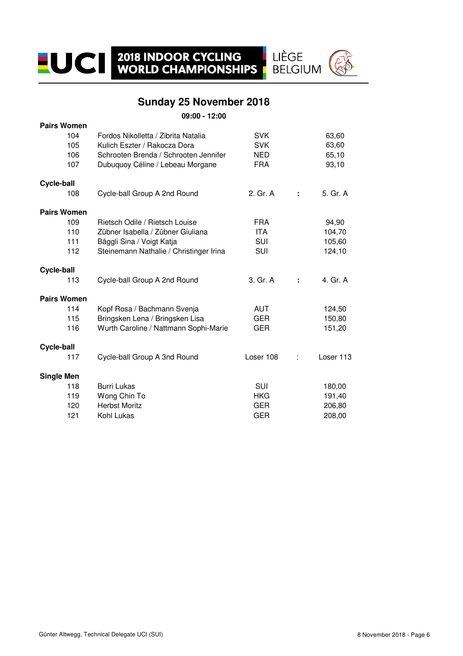### **Sunday 25 November 2018**

LIÈGE<br>BELGIUM

**09:00 - 12:00**

| <b>Pairs Women</b> |                                         |            |   |           |
|--------------------|-----------------------------------------|------------|---|-----------|
| 104                | Fordos Nikolletta / Zibrita Natalia     | <b>SVK</b> |   | 63,60     |
| 105                | Kulich Eszter / Rakocza Dora            | <b>SVK</b> |   | 63,60     |
| 106                | Schrooten Brenda / Schrooten Jennifer   | NED        |   | 65,10     |
| 107                | Dubuquoy Céline / Lebeau Morgane        | <b>FRA</b> |   | 93,10     |
| Cycle-ball         |                                         |            |   |           |
| 108                | Cycle-ball Group A 2nd Round            | 2. Gr. A   | ÷ | 5. Gr. A  |
| <b>Pairs Women</b> |                                         |            |   |           |
| 109                | Rietsch Odile / Rietsch Louise          | <b>FRA</b> |   | 94,90     |
| 110                | Zübner Isabella / Zübner Giuliana       | <b>ITA</b> |   | 104,70    |
| 111                | Bäggli Sina / Voigt Katja               | <b>SUI</b> |   | 105,60    |
| 112                | Steinemann Nathalie / Christinger Irina | SUI        |   | 124,10    |
| <b>Cycle-ball</b>  |                                         |            |   |           |
| 113                | Cycle-ball Group A 2nd Round            | 3. Gr. A   | ÷ | 4. Gr. A  |
| <b>Pairs Women</b> |                                         |            |   |           |
| 114                | Kopf Rosa / Bachmann Svenja             | <b>AUT</b> |   | 124,50    |
| 115                | Bringsken Lena / Bringsken Lisa         | <b>GER</b> |   | 150,80    |
| 116                | Wurth Caroline / Nattmann Sophi-Marie   | <b>GER</b> |   | 151,20    |
| Cycle-ball         |                                         |            |   |           |
| 117                | Cycle-ball Group A 3nd Round            | Loser 108  |   | Loser 113 |
| <b>Single Men</b>  |                                         |            |   |           |
| 118                | <b>Burri Lukas</b>                      | SUI        |   | 180,00    |
| 119                | Wong Chin To                            | <b>HKG</b> |   | 191,40    |
| 120                | <b>Herbst Moritz</b>                    | <b>GER</b> |   | 206,80    |
| 121                | Kohl Lukas                              | <b>GER</b> |   | 208,00    |